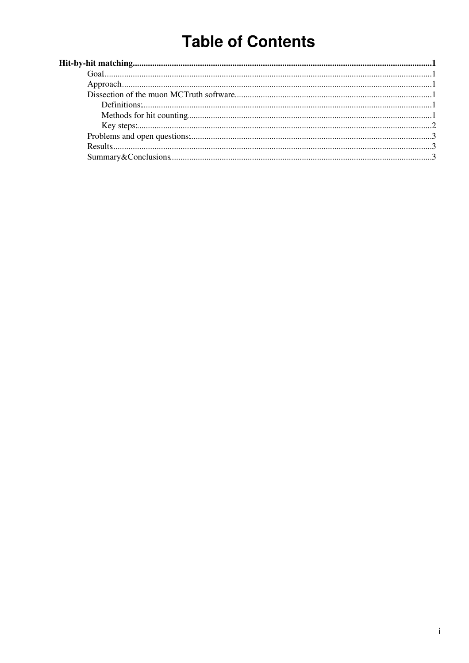# **Table of Contents**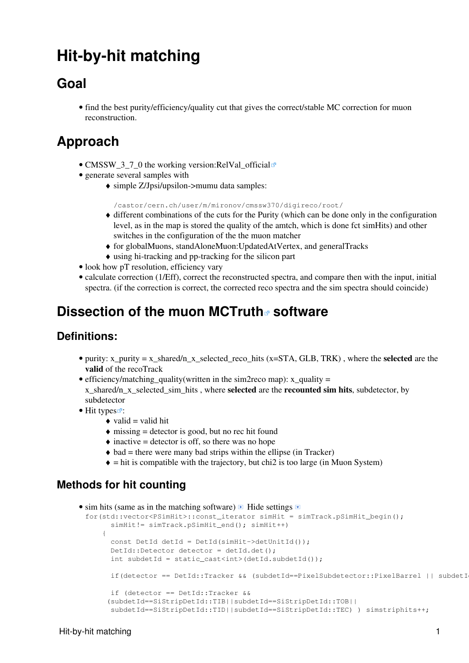## <span id="page-1-0"></span>**Hit-by-hit matching**

### <span id="page-1-1"></span>**Goal**

• find the best purity/efficiency/quality cut that gives the correct/stable MC correction for muon reconstruction.

## <span id="page-1-2"></span>**Approach**

- CMSSW\_3\_7\_0 the working version[:RelVal\\_official](http://cmsdoc.cern.ch/cms/Physics/muon/CMSSW/Performance/RecoMuon/Validation/val/CMSSW_3_7_0/MC_noPU_ootb/RelValSingleMuPt10/standAloneMuons_UpdatedAtVtx_tpToStaUpdMuonAssociation.pdf)<sup>®</sup>
- generate several samples with
	- simple Z/Jpsi/upsilon->mumu data samples: ♦

/castor/cern.ch/user/m/mironov/cmssw370/digireco/root/

- different combinations of the cuts for the Purity (which can be done only in the configuration ♦ level, as in the map is stored the quality of the amtch, which is done fct simHits) and other switches in the configuration of the the muon matcher
- ♦ for globalMuons, standAloneMuon:UpdatedAtVertex, and generalTracks
- ♦ using hi-tracking and pp-tracking for the silicon part
- look how pT resolution, efficiency vary
- calculate correction (1/Eff), correct the reconstructed spectra, and compare then with the input, initial spectra. (if the correction is correct, the corrected reco spectra and the sim spectra should coincide)

### <span id="page-1-3"></span>**Dissection of the [muon MCTruth](http://cmssw.cvs.cern.ch/cgi-bin/cmssw.cgi/CMSSW/SimMuon/MCTruth/src/MuonAssociatorByHits.cc?revision=1.14&view=markup) software**

#### <span id="page-1-4"></span>**Definitions:**

- purity: x\_purity = x\_shared/n\_x\_selected\_reco\_hits (x=STA, GLB, TRK), where the **selected** are the **valid** of the recoTrack
- efficiency/matching\_quality(written in the sim2reco map): x\_quality = x\_shared/n\_x\_selected\_sim\_hits , where **selected** are the **recounted sim hits**, subdetector, by subdetector
- [Hit types](http://cmssw.cvs.cern.ch/cgi-bin/cmssw.cgi/CMSSW/DataFormats/TrackingRecHit/interface/TrackingRecHit.h?revision=1.22&view=markup) $\mathbb{F}$ :
	- $\triangleleft$  valid = valid hit
	- $\triangle$  missing = detector is good, but no rec hit found
	- $\triangle$  inactive = detector is off, so there was no hope
	- $\triangle$  bad = there were many bad strips within the ellipse (in Tracker)
	- $\bullet$  = hit is compatible with the trajectory, but chi<sub>2</sub> is too large (in Muon System)

### <span id="page-1-5"></span>**Methods for hit counting**

```
• sim hits (same as in the matching software) \blacksquare Hide settings
 for(std::vector<PSimHit>::const_iterator simHit = simTrack.pSimHit_begin();
       simHit!= simTrack.pSimHit_end(); simHit++)
      {
       const DetId detId = DetId(simHit->detUnitId());
        DetId::Detector detector = detId.det();
       int subdetId = static_cast<int>(detId.subdetId());
       if(detector == DetId::Tracker && (subdetId==PixelSubdetector::PixelBarrel || subdetI
        if (detector == DetId::Tracker && 
       (subdetId==SiStripDetId::TIB||subdetId==SiStripDetId::TOB||
        subdetId==SiStripDetId::TID||subdetId==SiStripDetId::TEC) ) simstriphits++;
```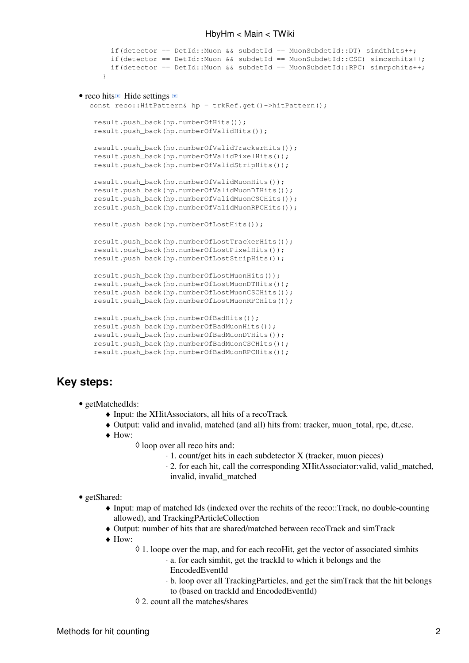```
if(detector == DetId::Muon && subdetId == MuonSubdetId::DT) simdthits++;
       if(detector == DetId::Muon && subdetId == MuonSubdetId::CSC) simcschits++;
       if(detector == DetId: Muon && subdetId == MuonSubdetId::RPC) simrpchits++;
  }
• reco hits Hide settings
   const reco::HitPattern& hp = trkRef.get()->hitPattern();
    result.push_back(hp.numberOfHits());
   result.push_back(hp.numberOfValidHits());
    result.push_back(hp.numberOfValidTrackerHits());
    result.push_back(hp.numberOfValidPixelHits());
    result.push_back(hp.numberOfValidStripHits());
    result.push_back(hp.numberOfValidMuonHits());
    result.push_back(hp.numberOfValidMuonDTHits());
    result.push_back(hp.numberOfValidMuonCSCHits());
    result.push_back(hp.numberOfValidMuonRPCHits());
    result.push_back(hp.numberOfLostHits());
    result.push_back(hp.numberOfLostTrackerHits());
   result.push_back(hp.numberOfLostPixelHits());
    result.push_back(hp.numberOfLostStripHits());
    result.push_back(hp.numberOfLostMuonHits());
    result.push_back(hp.numberOfLostMuonDTHits());
    result.push_back(hp.numberOfLostMuonCSCHits());
   result.push_back(hp.numberOfLostMuonRPCHits());
    result.push_back(hp.numberOfBadHits());
    result.push_back(hp.numberOfBadMuonHits());
    result.push_back(hp.numberOfBadMuonDTHits());
    result.push_back(hp.numberOfBadMuonCSCHits());
    result.push_back(hp.numberOfBadMuonRPCHits());
```
#### <span id="page-2-0"></span>**Key steps:**

- getMatchedIds:
	- ♦ Input: the [XHitAssociators](https://twiki.cern.ch/twiki/bin/edit/Main/XHitAssociators?topicparent=Main.HbyHm;nowysiwyg=1), all hits of a recoTrack
	- ♦ Output: valid and invalid, matched (and all) hits from: tracker, muon\_total, rpc, dt,csc.
	- How: ♦
		- ◊ loop over all reco hits and:
			- ⋅ 1. count/get hits in each subdetector X (tracker, muon pieces)
			- 2. for each hit, call the corresponding [XHitAssociator](https://twiki.cern.ch/twiki/bin/edit/Main/XHitAssociator?topicparent=Main.HbyHm;nowysiwyg=1):valid, valid\_matched, ⋅ invalid, invalid\_matched

• getShared:

- Input: map of matched Ids (indexed over the rechits of the reco::Track, no double-counting ♦ allowed), and [TrackingPArticleCollection](https://twiki.cern.ch/twiki/bin/edit/Main/TrackingPArticleCollection?topicparent=Main.HbyHm;nowysiwyg=1)
- ♦ Output: number of hits that are shared/matched between recoTrack and simTrack
- How: ♦
	- 1. loope over the map, and for each recoHit, get the vector of associated simhits ◊
		- a. for each simhit, get the trackId to which it belongs and the ⋅ [EncodedEventId](https://twiki.cern.ch/twiki/bin/edit/Main/EncodedEventId?topicparent=Main.HbyHm;nowysiwyg=1)
		- b. loop over all [TrackingParticles,](https://twiki.cern.ch/twiki/bin/edit/Main/TrackingParticles?topicparent=Main.HbyHm;nowysiwyg=1) and get the simTrack that the hit belongs ⋅
		- to (based on trackId and [EncodedEventId](https://twiki.cern.ch/twiki/bin/edit/Main/EncodedEventId?topicparent=Main.HbyHm;nowysiwyg=1))
		- ◊ 2. count all the matches/shares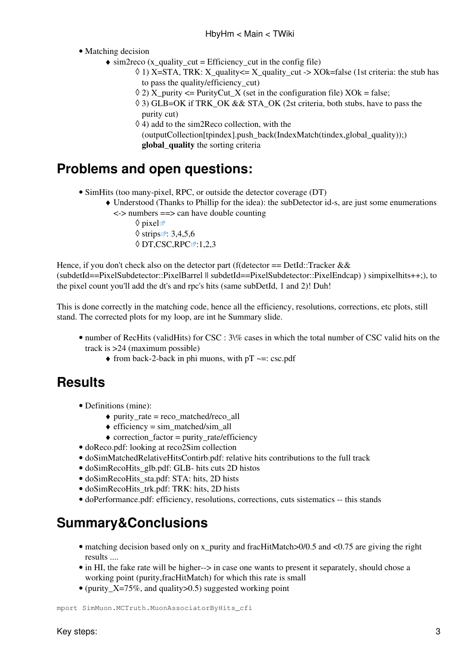• Matching decision

- $\triangleleft$  sim2reco (x\_quality\_cut = Efficiency\_cut in the config file)
	- 1) X=STA, TRK: X\_quality<= X\_quality\_cut -> XOk=false (1st criteria: the stub has ◊ to pass the quality/efficiency\_cut)
	- $\Diamond$  2) X purity  $\angle$  [PurityCut](https://twiki.cern.ch/twiki/bin/edit/Main/PurityCut?topicparent=Main.HbyHm;nowysiwyg=1) X (set in the configuration file) XOk = false;
	- 3) GLB=OK if TRK\_OK && STA\_OK (2st criteria, both stubs, have to pass the ◊ purity cut)
	- $\Diamond$  4) add to the sim2Reco collection, with the
	- $(outputCollection[tpindex].push-back(IndexMatch(intdex,global-quality));)$  $(outputCollection[tpindex].push-back(IndexMatch(intdex,global-quality));)$  $(outputCollection[tpindex].push-back(IndexMatch(intdex,global-quality));)$ **global\_quality** the sorting criteria

### <span id="page-3-0"></span>**Problems and open questions:**

- [SimHits](https://twiki.cern.ch/twiki/bin/edit/Main/SimHits?topicparent=Main.HbyHm;nowysiwyg=1) (too many-pixel, RPC, or outside the detector coverage (DT)
	- Understood (Thanks to Phillip for the idea): the subDetector id-s, are just some enumerations ♦ <-> numbers ==> can have double counting
		- $\Diamond$  [pixel](http://cmssdt.cern.ch/SDT/lxr/source/DataFormats/SiPixelDetId/interface/PixelSubdetector.h) $\Box$  $\Diamond$  [strips](http://cmssdt.cern.ch/SDT/lxr/source/DataFormats/SiStripDetId/interface/StripSubdetector.h) $\mathbb{Z}$ : 3,4,5,6  $\lozenge$  [DT,CSC,RPC](http://cmssdt.cern.ch/SDT/lxr/source/DataFormats/MuonDetId/interface/MuonSubdetId.h) $\mathbb{Z}$ :1,2,3

Hence, if you don't check also on the detector part (f(detector  $==$  [DetId:](https://twiki.cern.ch/twiki/bin/view/Main/DetId):Tracker && (subdetId==PixelSubdetector::PixelBarrel || subdetId==PixelSubdetector::PixelEndcap) ) simpixelhits++;), to the pixel count you'll add the dt's and rpc's hits (same subDetId, 1 and 2)! Duh!

This is done correctly in the matching code, hence all the efficiency, resolutions, corrections, etc plots, still stand. The corrected plots for my loop, are int he Summary slide.

- number of [RecHits](https://twiki.cern.ch/twiki/bin/edit/Main/RecHits?topicparent=Main.HbyHm;nowysiwyg=1) (validHits) for CSC : 3\% cases in which the total number of CSC valid hits on the track is >24 (maximum possible)
	- $\triangle$  from back-2-back in phi muons, with pT  $\sim$ =: [csc.pdf](https://twiki.cern.ch/twiki/pub/Main/HbyHm/csc.pdf)

### <span id="page-3-1"></span>**Results**

- Definitions (mine):
	- $\triangle$  purity\_rate = reco\_matched/reco\_all
	- $\triangle$  efficiency = sim\_matched/sim\_all
	- $\triangle$  correction factor = purity rate/efficiency
- [doReco.pdf](https://twiki.cern.ch/twiki/pub/Main/HbyHm/doReco.pdf): looking at reco2Sim collection
- [doSimMatchedRelativeHitsContirb.pdf](https://twiki.cern.ch/twiki/pub/Main/HbyHm/doSimMatchedRelativeHitsContirb.pdf): relative hits contributions to the full track
- doSimRecoHits glb.pdf: GLB- hits cuts 2D histos
- doSimRecoHits sta.pdf: STA: hits, 2D hists
- doSimRecoHits trk.pdf: TRK: hits, 2D hists
- [doPerformance.pdf:](https://twiki.cern.ch/twiki/pub/Main/HbyHm/doPerformance.pdf) efficiency, resolutions, corrections, cuts sistematics -- this stands

### <span id="page-3-2"></span>**Summary&Conclusions**

- matching decision based only on x\_purity and fracHitMatch>0/0.5 and <0.75 are giving the right results ....
- in HI, the fake rate will be higher--> in case one wants to present it separately, should chose a working point (purity,fracHitMatch) for which this rate is small
- (purity  $X=75\%$ , and quality > 0.5) suggested working point

mport SimMuon.MCTruth.MuonAssociatorByHits\_cfi